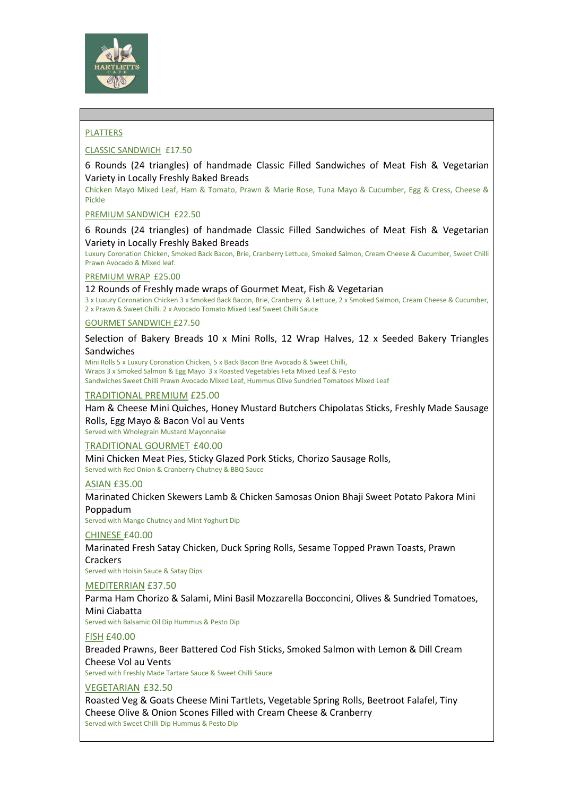

## PLATTERS

## CLASSIC SANDWICH £17.50

6 Rounds (24 triangles) of handmade Classic Filled Sandwiches of Meat Fish & Vegetarian Variety in Locally Freshly Baked Breads

Chicken Mayo Mixed Leaf, Ham & Tomato, Prawn & Marie Rose, Tuna Mayo & Cucumber, Egg & Cress, Cheese & Pickle

PREMIUM SANDWICH £22.50

6 Rounds (24 triangles) of handmade Classic Filled Sandwiches of Meat Fish & Vegetarian Variety in Locally Freshly Baked Breads

Luxury Coronation Chicken, Smoked Back Bacon, Brie, Cranberry Lettuce, Smoked Salmon, Cream Cheese & Cucumber, Sweet Chilli Prawn Avocado & Mixed leaf.

#### PREMIUM WRAP £25.00

12 Rounds of Freshly made wraps of Gourmet Meat, Fish & Vegetarian

3 x Luxury Coronation Chicken 3 x Smoked Back Bacon, Brie, Cranberry & Lettuce, 2 x Smoked Salmon, Cream Cheese & Cucumber, 2 x Prawn & Sweet Chilli. 2 x Avocado Tomato Mixed Leaf Sweet Chilli Sauce

#### GOURMET SANDWICH £27.50

Selection of Bakery Breads 10 x Mini Rolls, 12 Wrap Halves, 12 x Seeded Bakery Triangles Sandwiches

Mini Rolls 5 x Luxury Coronation Chicken, 5 x Back Bacon Brie Avocado & Sweet Chilli, Wraps 3 x Smoked Salmon & Egg Mayo 3 x Roasted Vegetables Feta Mixed Leaf & Pesto Sandwiches Sweet Chilli Prawn Avocado Mixed Leaf, Hummus Olive Sundried Tomatoes Mixed Leaf

#### TRADITIONAL PREMIUM £25.00

Ham & Cheese Mini Quiches, Honey Mustard Butchers Chipolatas Sticks, Freshly Made Sausage Rolls, Egg Mayo & Bacon Vol au Vents

Served with Wholegrain Mustard Mayonnaise

### TRADITIONAL GOURMET £40.00

Mini Chicken Meat Pies, Sticky Glazed Pork Sticks, Chorizo Sausage Rolls, Served with Red Onion & Cranberry Chutney & BBQ Sauce

#### ASIAN £35.00

Marinated Chicken Skewers Lamb & Chicken Samosas Onion Bhaji Sweet Potato Pakora Mini Poppadum

Served with Mango Chutney and Mint Yoghurt Dip

#### CHINESE £40.00

Marinated Fresh Satay Chicken, Duck Spring Rolls, Sesame Topped Prawn Toasts, Prawn **Crackers** 

Served with Hoisin Sauce & Satay Dips

## MEDITERRIAN £37.50

Parma Ham Chorizo & Salami, Mini Basil Mozzarella Bocconcini, Olives & Sundried Tomatoes, Mini Ciabatta

Served with Balsamic Oil Dip Hummus & Pesto Dip

## FISH £40.00

Breaded Prawns, Beer Battered Cod Fish Sticks, Smoked Salmon with Lemon & Dill Cream Cheese Vol au Vents

Served with Freshly Made Tartare Sauce & Sweet Chilli Sauce

## VEGETARIAN £32.50

Roasted Veg & Goats Cheese Mini Tartlets, Vegetable Spring Rolls, Beetroot Falafel, Tiny Cheese Olive & Onion Scones Filled with Cream Cheese & Cranberry Served with Sweet Chilli Dip Hummus & Pesto Dip